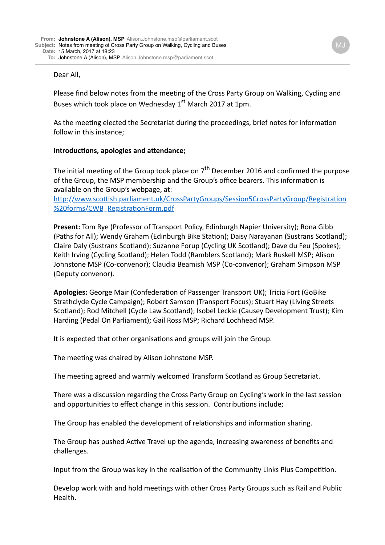## Dear All,

Please find below notes from the meeting of the Cross Party Group on Walking, Cycling and Buses which took place on Wednesday  $1<sup>st</sup>$  March 2017 at 1pm.

As the meeting elected the Secretariat during the proceedings, brief notes for information follow in this instance:

## **Introductions, apologies and attendance;**

The initial meeting of the Group took place on  $7<sup>th</sup>$  December 2016 and confirmed the purpose of the Group, the MSP membership and the Group's office bearers. This information is available on the Group's webpage, at:

http://www.scottish.parliament.uk/CrossPartyGroups/Session5CrossPartyGroup/Registration %20forms/CWB\_RegistrationForm.pdf

**Present:** Tom Rye (Professor of Transport Policy, Edinburgh Napier University); Rona Gibb (Paths for All); Wendy Graham (Edinburgh Bike Station); Daisy Narayanan (Sustrans Scotland); Claire Daly (Sustrans Scotland); Suzanne Forup (Cycling UK Scotland); Dave du Feu (Spokes); Keith Irving (Cycling Scotland); Helen Todd (Ramblers Scotland); Mark Ruskell MSP; Alison Johnstone MSP (Co-convenor); Claudia Beamish MSP (Co-convenor); Graham Simpson MSP (Deputy convenor).

Apologies: George Mair (Confederation of Passenger Transport UK); Tricia Fort (GoBike Strathclyde Cycle Campaign); Robert Samson (Transport Focus); Stuart Hay (Living Streets Scotland); Rod Mitchell (Cycle Law Scotland); Isobel Leckie (Causey Development Trust); Kim Harding (Pedal On Parliament); Gail Ross MSP; Richard Lochhead MSP.

It is expected that other organisations and groups will join the Group.

The meeting was chaired by Alison Johnstone MSP.

The meeting agreed and warmly welcomed Transform Scotland as Group Secretariat.

There was a discussion regarding the Cross Party Group on Cycling's work in the last session and opportunities to effect change in this session. Contributions include;

The Group has enabled the development of relationships and information sharing.

The Group has pushed Active Travel up the agenda, increasing awareness of benefits and challenges. 

Input from the Group was key in the realisation of the Community Links Plus Competition.

Develop work with and hold meetings with other Cross Party Groups such as Rail and Public Health.